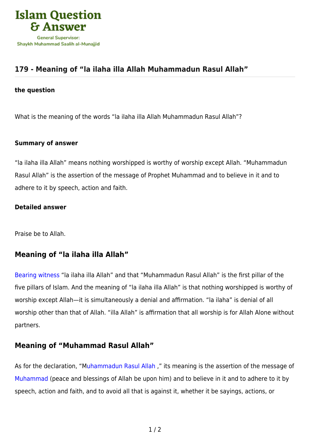

# **[179 - Meaning of "la ilaha illa Allah Muhammadun Rasul Allah"](https://islamqa.info/en/answers/179/meaning-of-la-ilaha-illa-allah-muhammadun-rasul-allah)**

#### **the question**

What is the meaning of the words "la ilaha illa Allah Muhammadun Rasul Allah"?

#### **Summary of answer**

"la ilaha illa Allah" means nothing worshipped is worthy of worship except Allah. "Muhammadun Rasul Allah" is the assertion of the message of Prophet Muhammad and to believe in it and to adhere to it by speech, action and faith.

#### **Detailed answer**

Praise be to Allah.

## **Meaning of "la ilaha illa Allah"**

[Bearing witness](https://islamqa.info/en/answers/9104) "la ilaha illa Allah" and that "Muhammadun Rasul Allah" is the first pillar of the five pillars of Islam. And the meaning of "la ilaha illa Allah" is that nothing worshipped is worthy of worship except Allah—it is simultaneously a denial and affirmation. "la ilaha" is denial of all worship other than that of Allah. "illa Allah" is affirmation that all worship is for Allah Alone without partners.

### **Meaning of "Muhammad Rasul Allah"**

As for the declaration, "M[uhammadun Rasul Allah](https://islamqa.info/en/answers/49715) ," its meaning is the assertion of the message of [Muhammad](https://islamqa.info/en/answers/11575) (peace and blessings of Allah be upon him) and to believe in it and to adhere to it by speech, action and faith, and to avoid all that is against it, whether it be sayings, actions, or